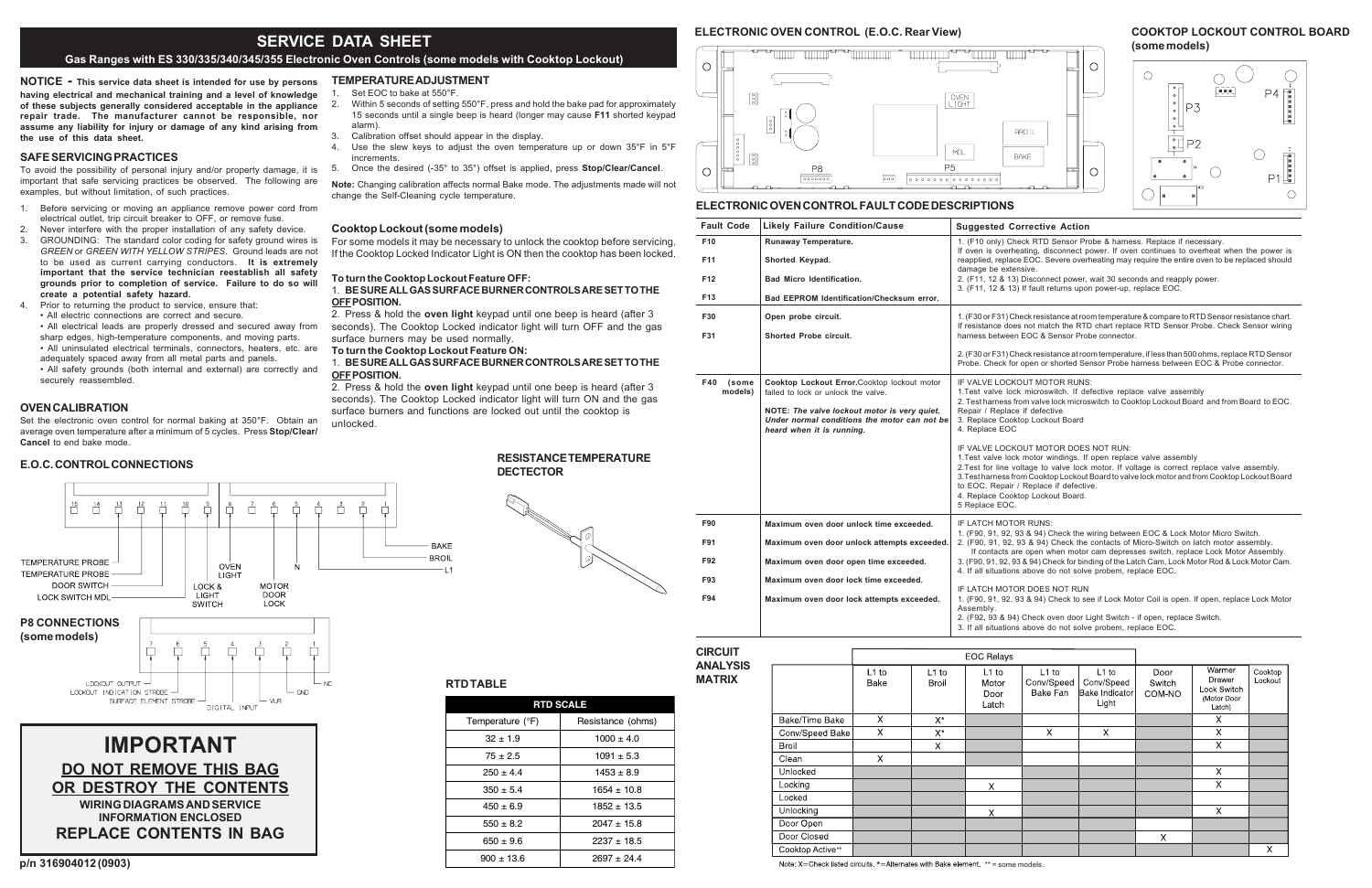**NOTICE - This service data sheet is intended for use by persons having electrical and mechanical training and a level of knowledge of these subjects generally considered acceptable in the appliance repair trade. The manufacturer cannot be responsible, nor assume any liability for injury or damage of any kind arising from the use of this data sheet.**

# **SAFE SERVICING PRACTICES**

To avoid the possibility of personal injury and/or property damage, it is important that safe servicing practices be observed. The following are examples, but without limitation, of such practices.

- 1. Before servicing or moving an appliance remove power cord from electrical outlet, trip circuit breaker to OFF, or remove fuse.
- 2. Never interfere with the proper installation of any safety device.
- 3. GROUNDING: The standard color coding for safety ground wires is *GREEN* or *GREEN WITH YELLOW STRIPES*. Ground leads are not to be used as current carrying conductors. **It is extremely important that the service technician reestablish all safety grounds prior to completion of service. Failure to do so will create a potential safety hazard.**
- 4. Prior to returning the product to service, ensure that:

## $\circ$  $\sqrt{\frac{9}{6}}$ **OVEN**<br>LIGHT  $00000$  $\mathsf{MDL}$  $\frac{1}{2}$ **P5**  $\circ$ P8  $00000000$  $\overline{\circ \circ}$ **ELECTRONIC OVEN CONTROL FAULT CODE DESCRIPTIONS**

<u> Karl Barbar (</u>

THE LITTLE

• All electric connections are correct and secure. • All electrical leads are properly dressed and secured away from

sharp edges, high-temperature components, and moving parts. • All uninsulated electrical terminals, connectors, heaters, etc. are

adequately spaced away from all metal parts and panels. • All safety grounds (both internal and external) are correctly and securely reassembled.

## **OVEN CALIBRATION**

 $\frac{15}{11}$  $\frac{14}{2}$ 

Set the electronic oven control for normal baking at 350°F. Obtain an average oven temperature after a minimum of 5 cycles. Press **Stop/Clear/ Cancel** to end bake mode.

 $\frac{10}{11}$ 

 $\sqrt{9}$ 

LOCK &

**LIGHT** 

**SWITCH** 

Ů.  $\overline{\square}$  $\overline{\Box}$ 

**OVEN** 

**LIGHT** 

 $\sqrt{5}$  $\sqrt{\frac{4}{1}}$ 

**MOTOR** 

**DOOR** 

LOCK

 $\overline{\Box}$  $\overline{\Box}^2$ 

**p/n 316904012 (0903)**

|                  | <b>RTD SCALE</b>                 |  |  |  |  |  |
|------------------|----------------------------------|--|--|--|--|--|
| Temperature (°F) | Resistance (ohms)                |  |  |  |  |  |
| $32 \pm 1.9$     | $1000 \pm 4.0$                   |  |  |  |  |  |
| $75 \pm 2.5$     | $1091 \pm 5.3$<br>$1453 \pm 8.9$ |  |  |  |  |  |
| $250 + 4.4$      |                                  |  |  |  |  |  |
| $350 \pm 5.4$    | $1654 \pm 10.8$                  |  |  |  |  |  |
| $450 \pm 6.9$    | $1852 \pm 13.5$                  |  |  |  |  |  |
| $550 \pm 8.2$    | $2047 \pm 15.8$                  |  |  |  |  |  |
| $650 \pm 9.6$    | $2237 \pm 18.5$                  |  |  |  |  |  |
| $900 \pm 13.6$   | $2697 \pm 24.4$                  |  |  |  |  |  |

# **ELECTRONIC OVEN CONTROL (E.O.C. Rear View)**

# **IMPORTANTDO NOT REMOVE THIS BAG OR DESTROY THE CONTENTSWIRING DIAGRAMS AND SERVICEINFORMATION ENCLOSEDREPLACE CONTENTS IN BAG**

# **TEMPERATURE ADJUSTMENT**

- 1. Set EOC to bake at 550°F.
- 2. Within 5 seconds of setting 550°F, press and hold the bake pad for approximately 15 seconds until a single beep is heard (longer may cause **F11** shorted keypad alarm).
- 3. Calibration offset should appear in the display.
- 4. Use the slew keys to adjust the oven temperature up or down 35°F in 5°F increments.
- 5. Once the desired (-35° to 35°) offset is applied, press **Stop/Clear/Cancel**.

**Note:** Changing calibration affects normal Bake mode. The adjustments made will not change the Self-Cleaning cycle temperature.

## **Cooktop Lockout (some models)**

For some models it may be necessary to unlock the cooktop before servicing. If the Cooktop Locked Indicator Light is ON then the cooktop has been locked.

> 1. (F90, 91, 92, 93 & 94) Check the wiring between EOC & Lock Motor Micro Switch.  $(93, 8, 94)$  Check the contacts of Micro-Switch on latch motor assembly. are open when motor cam depresses switch, replace Lock Motor Assembly. . 93 & 94) Check for binding of the Latch Cam, Lock Motor Rod & Lock Motor Cam. ions above do not solve probem, replace EOC.

> > **ITOR DOES NOT RUN**

## **To turn the Cooktop Lockout Feature OFF:**

## 1. **BE SURE ALL GAS SURFACE BURNER CONTROLS ARE SET TO THEOFF POSITION.**

2. Press & hold the **oven light** keypad until one beep is heard (after 3 seconds). The Cooktop Locked indicator light will turn OFF and the gas surface burners may be used normally.

**To turn the Cooktop Lockout Feature ON:**

**BAKE BROI** 

## 1. **BE SURE ALL GAS SURFACE BURNER CONTROLS ARE SET TO THEOFF POSITION.**

2. Press & hold the **oven light** keypad until one beep is heard (after 3 seconds). The Cooktop Locked indicator light will turn ON and the gas surface burners and functions are locked out until the cooktop is unlocked.

## **RESISTANCE TEMPERATUREDECTECTOR**



**E.O.C. CONTROL CONNECTIONS**

 $\frac{13}{11}$ 

 $\frac{12}{\Box}$ 

## **CIRCUIT ANALYSISMATRIX**

|                  | <b>EOC Relays</b> |                  |                                   |                                   |                                                  |                          |                                                          |                    |
|------------------|-------------------|------------------|-----------------------------------|-----------------------------------|--------------------------------------------------|--------------------------|----------------------------------------------------------|--------------------|
|                  | $L1$ to<br>Bake   | $L1$ to<br>Broil | $L1$ to<br>Motor<br>Door<br>Latch | $L1$ to<br>Conv/Speed<br>Bake Fan | $L1$ to<br>Conv/Speed<br>Bake Indicator<br>Light | Door<br>Switch<br>COM-NO | Warmer<br>Drawer<br>Lock Switch<br>(Motor Door<br>Latch) | Cooktop<br>Lockout |
| Bake/Time Bake   | X                 | $X^*$            |                                   |                                   |                                                  |                          | X                                                        |                    |
| Conv/Speed Bake  | $\times$          | $X^*$            |                                   | X                                 | X                                                |                          | X                                                        |                    |
| <b>Broil</b>     |                   | $\mathsf{X}$     |                                   |                                   |                                                  |                          | $\times$                                                 |                    |
| Clean            | X                 |                  |                                   |                                   |                                                  |                          |                                                          |                    |
| Unlocked         |                   |                  |                                   |                                   |                                                  |                          | X                                                        |                    |
| Locking          |                   |                  | X                                 |                                   |                                                  |                          | $\times$                                                 |                    |
| Locked           |                   |                  |                                   |                                   |                                                  |                          |                                                          |                    |
| Unlocking        |                   |                  | X                                 |                                   |                                                  |                          | $\times$                                                 |                    |
| Door Open        |                   |                  |                                   |                                   |                                                  |                          |                                                          |                    |
| Door Closed      |                   |                  |                                   |                                   |                                                  | X                        |                                                          |                    |
| Cooktop Active** |                   |                  |                                   |                                   |                                                  |                          |                                                          | X                  |

Note: X=Check listed circuits.  $*$ =Alternates with Bake element.  $**$  = some models.

# **P8 CONNECTIONS**

TEMPERATURE PROBE

**TEMPERATURE PROBE** 

**DOOR SWITCH** 

LOCK SWITCH MDL



# **RTD TABLE**

# **COOKTOP LOCKOUT CONTROL BOARD (some models)**





#### **Corrective Action**

Check RTD Sensor Probe & harness. Replace if necessary

rheating, disconnect power. If oven continues to overheat when the power is ace EOC. Severe overheating may require the entire oven to be replaced should densive.

13) Disconnect power, wait 30 seconds and reapply power.

13) If fault returns upon power-up, replace EOC.

Check resistance at room temperature & compare to RTD Sensor resistance chart. oes not match the RTD chart replace RTD Sensor Probe. Check Sensor wiring een EOC & Sensor Probe connector

Check resistance at room temperature, if less than 500 ohms, replace RTD Sensor  $\tilde{P}$  for open or shorted Sensor Probe harness between EOC & Probe connector.

CKOUT MOTOR RUNS: lock microswitch. If defective replace valve assembly 2. Sam and valve lock microswitch to Cooktop Lockout Board and from Board to EOC. lace if defective ooktop Lockout Board<br>OC

CKOUT MOTOR DOES NOT RUN<sup>.</sup> ock motor windings. If open replace valve assembly voltage to valve lock motor. If voltage is correct replace valve assembly. from Cooktop Lockout Board to valve lock motor and from Cooktop Lockout Board air / Replace if defective oktop Lockout Board.

#### **ITOR RUNS:**

| <b>Fault Code</b>       | <b>Likely Failure Condition/Cause</b>                                                                                     | Suggested C                                                                                                                                  |  |  |
|-------------------------|---------------------------------------------------------------------------------------------------------------------------|----------------------------------------------------------------------------------------------------------------------------------------------|--|--|
| F <sub>10</sub><br>F11  | Runaway Temperature.<br>Shorted Keypad.                                                                                   | 1. (F10 only) Ch<br>If oven is overh<br>reapplied, replac                                                                                    |  |  |
| F12                     | <b>Bad Micro Identification.</b>                                                                                          | damage be exte<br>2. (F11, 12 & 13<br>3. (F11, 12 & 13                                                                                       |  |  |
| F <sub>13</sub>         | Bad EEPROM Identification/Checksum error.                                                                                 |                                                                                                                                              |  |  |
| F30                     | Open probe circuit.                                                                                                       | 1. (F30 or F31) CI<br>If resistance doe                                                                                                      |  |  |
| F31                     | <b>Shorted Probe circuit.</b>                                                                                             | harness betweer                                                                                                                              |  |  |
|                         |                                                                                                                           | 2. (F30 or F31) C<br>Probe, Check fo                                                                                                         |  |  |
| F40<br>(some<br>models) | Cooktop Lockout Error.Cooktop lockout motor<br>failed to lock or unlock the valve.                                        | <b>IF VALVE LOCK</b><br>1.Test valve loc<br>2. Test harness f                                                                                |  |  |
|                         | NOTE: The valve lockout motor is very quiet.<br>Under normal conditions the motor can not be<br>heard when it is running. | Repair / Replac<br>3. Replace Cook<br>4. Replace EOC                                                                                         |  |  |
|                         |                                                                                                                           | <b>IF VALVE LOCK</b><br>1. Test valve loc<br>2. Test for line v<br>3. Test harness fr<br>to EOC. Repair<br>4. Replace Cool<br>5 Replace EOC. |  |  |
| F90                     | Maximum oven door unlock time exceeded.                                                                                   | <b>IF LATCH MOTO</b>                                                                                                                         |  |  |
| F91                     | Maximum oven door unlock attempts exceeded.                                                                               | 1. (F90, 91, 92, 9<br>2. (F90, 91, 92,<br>If contacts a                                                                                      |  |  |
| F92                     | Maximum oven door open time exceeded.                                                                                     | 3. (F90, 91, 92, 9<br>4. If all situation                                                                                                    |  |  |
| F93                     | Maximum oven door lock time exceeded.                                                                                     |                                                                                                                                              |  |  |
| F94                     | Maximum oven door lock attempts exceeded.                                                                                 | <b>IF LATCH MOTO</b><br>1. (F90, 91, 92,<br>Assembly.<br>2. (F92, 93 & 94<br>3. If all situation                                             |  |  |
|                         |                                                                                                                           |                                                                                                                                              |  |  |

1. (F90, 91, 92, 93 & 94) Check to see if Lock Motor Coil is open. If open, replace Lock Motor

94) Check oven door Light Switch - if open, replace Switch. ons above do not solve probem, replace EOC.

# **SERVICE DATA SHEET**

# **Gas Ranges with ES 330/335/340/345/355 Electronic Oven Controls (some models with Cooktop Lockout)**